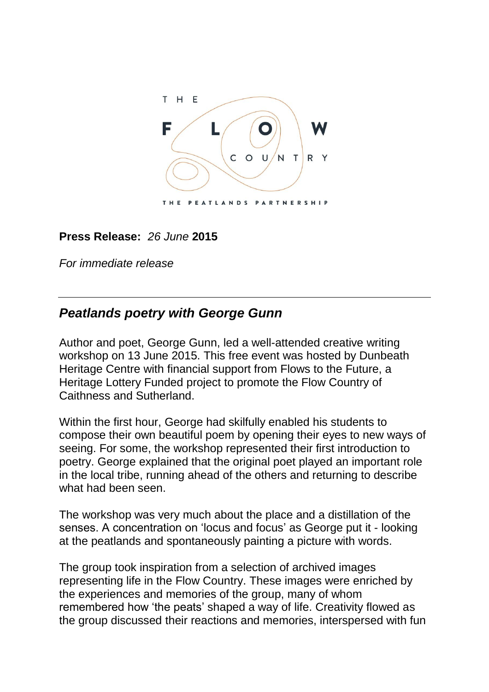

## **Press Release:** *26 June* **2015**

*For immediate release*

# *Peatlands poetry with George Gunn*

Author and poet, George Gunn, led a well-attended creative writing workshop on 13 June 2015. This free event was hosted by Dunbeath Heritage Centre with financial support from Flows to the Future, a Heritage Lottery Funded project to promote the Flow Country of Caithness and Sutherland.

Within the first hour, George had skilfully enabled his students to compose their own beautiful poem by opening their eyes to new ways of seeing. For some, the workshop represented their first introduction to poetry. George explained that the original poet played an important role in the local tribe, running ahead of the others and returning to describe what had been seen.

The workshop was very much about the place and a distillation of the senses. A concentration on 'locus and focus' as George put it - looking at the peatlands and spontaneously painting a picture with words.

The group took inspiration from a selection of archived images representing life in the Flow Country. These images were enriched by the experiences and memories of the group, many of whom remembered how 'the peats' shaped a way of life. Creativity flowed as the group discussed their reactions and memories, interspersed with fun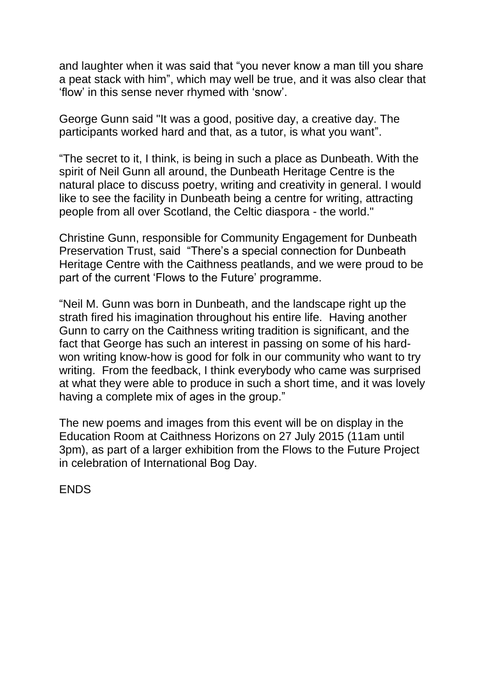and laughter when it was said that "you never know a man till you share a peat stack with him", which may well be true, and it was also clear that 'flow' in this sense never rhymed with 'snow'.

George Gunn said "It was a good, positive day, a creative day. The participants worked hard and that, as a tutor, is what you want".

"The secret to it, I think, is being in such a place as Dunbeath. With the spirit of Neil Gunn all around, the Dunbeath Heritage Centre is the natural place to discuss poetry, writing and creativity in general. I would like to see the facility in Dunbeath being a centre for writing, attracting people from all over Scotland, the Celtic diaspora - the world."

Christine Gunn, responsible for Community Engagement for Dunbeath Preservation Trust, said "There's a special connection for Dunbeath Heritage Centre with the Caithness peatlands, and we were proud to be part of the current 'Flows to the Future' programme.

"Neil M. Gunn was born in Dunbeath, and the landscape right up the strath fired his imagination throughout his entire life. Having another Gunn to carry on the Caithness writing tradition is significant, and the fact that George has such an interest in passing on some of his hardwon writing know-how is good for folk in our community who want to try writing. From the feedback, I think everybody who came was surprised at what they were able to produce in such a short time, and it was lovely having a complete mix of ages in the group."

The new poems and images from this event will be on display in the Education Room at Caithness Horizons on 27 July 2015 (11am until 3pm), as part of a larger exhibition from the Flows to the Future Project in celebration of International Bog Day.

ENDS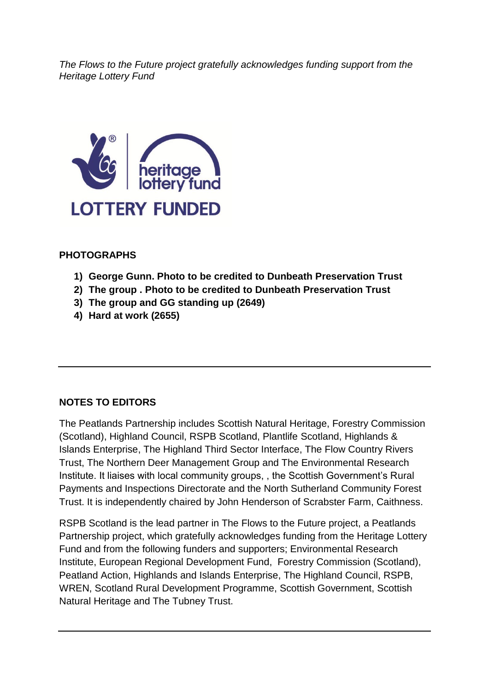*The Flows to the Future project gratefully acknowledges funding support from the Heritage Lottery Fund* 



#### **PHOTOGRAPHS**

- **1) George Gunn. Photo to be credited to Dunbeath Preservation Trust**
- **2) The group . Photo to be credited to Dunbeath Preservation Trust**
- **3) The group and GG standing up (2649)**
- **4) Hard at work (2655)**

#### **NOTES TO EDITORS**

The Peatlands Partnership includes Scottish Natural Heritage, Forestry Commission (Scotland), Highland Council, RSPB Scotland, Plantlife Scotland, Highlands & Islands Enterprise, The Highland Third Sector Interface, The Flow Country Rivers Trust, The Northern Deer Management Group and The Environmental Research Institute. It liaises with local community groups, , the Scottish Government's Rural Payments and Inspections Directorate and the North Sutherland Community Forest Trust. It is independently chaired by John Henderson of Scrabster Farm, Caithness.

RSPB Scotland is the lead partner in The Flows to the Future project, a Peatlands Partnership project, which gratefully acknowledges funding from the Heritage Lottery Fund and from the following funders and supporters; Environmental Research Institute, European Regional Development Fund, Forestry Commission (Scotland), Peatland Action, Highlands and Islands Enterprise, The Highland Council, RSPB, WREN, Scotland Rural Development Programme, Scottish Government, Scottish Natural Heritage and The Tubney Trust.